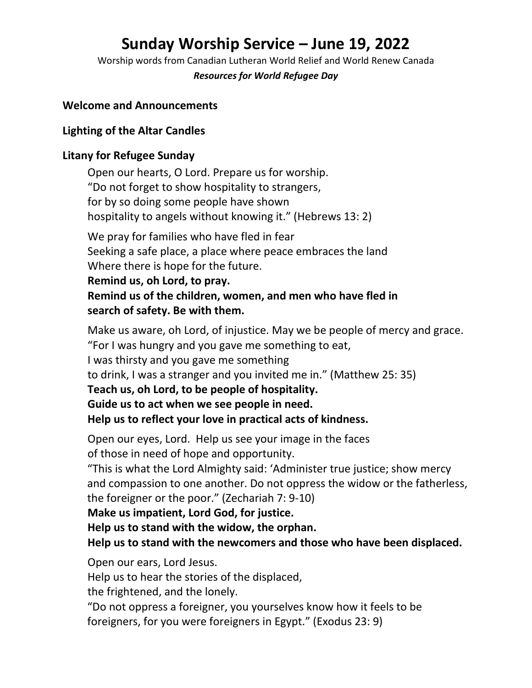# **Sunday Worship Service – June 19, 2022**

Worship words from Canadian Lutheran World Relief and World Renew Canada

*Resources for World Refugee Day*

### **Welcome and Announcements**

# **Lighting of the Altar Candles**

## **Litany for Refugee Sunday**

Open our hearts, O Lord. Prepare us for worship. "Do not forget to show hospitality to strangers, for by so doing some people have shown hospitality to angels without knowing it." (Hebrews 13: 2) We pray for families who have fled in fear Seeking a safe place, a place where peace embraces the land Where there is hope for the future.

**Remind us, oh Lord, to pray. Remind us of the children, women, and men who have fled in search of safety. Be with them.**

Make us aware, oh Lord, of injustice. May we be people of mercy and grace. "For I was hungry and you gave me something to eat, I was thirsty and you gave me something to drink, I was a stranger and you invited me in." (Matthew 25: 35) **Teach us, oh Lord, to be people of hospitality. Guide us to act when we see people in need. Help us to reflect your love in practical acts of kindness.**

Open our eyes, Lord. Help us see your image in the faces of those in need of hope and opportunity.

"This is what the Lord Almighty said: 'Administer true justice; show mercy and compassion to one another. Do not oppress the widow or the fatherless, the foreigner or the poor." (Zechariah 7: 9-10)

**Make us impatient, Lord God, for justice.**

**Help us to stand with the widow, the orphan.**

**Help us to stand with the newcomers and those who have been displaced.**

Open our ears, Lord Jesus.

Help us to hear the stories of the displaced,

the frightened, and the lonely.

"Do not oppress a foreigner, you yourselves know how it feels to be foreigners, for you were foreigners in Egypt." (Exodus 23: 9)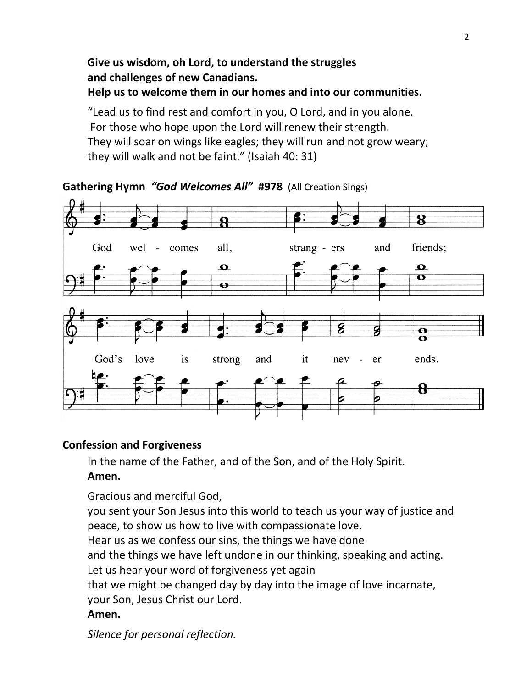# **Give us wisdom, oh Lord, to understand the struggles and challenges of new Canadians. Help us to welcome them in our homes and into our communities.**

"Lead us to find rest and comfort in you, O Lord, and in you alone. For those who hope upon the Lord will renew their strength. They will soar on wings like eagles; they will run and not grow weary; they will walk and not be faint." (Isaiah 40: 31)



**Gathering Hymn** *"God Welcomes All"* **#978** (All Creation Sings)

# **Confession and Forgiveness**

In the name of the Father, and of the Son, and of the Holy Spirit.

# **Amen.**

Gracious and merciful God,

you sent your Son Jesus into this world to teach us your way of justice and peace, to show us how to live with compassionate love.

Hear us as we confess our sins, the things we have done

and the things we have left undone in our thinking, speaking and acting. Let us hear your word of forgiveness yet again

that we might be changed day by day into the image of love incarnate, your Son, Jesus Christ our Lord.

### **Amen.**

*Silence for personal reflection.*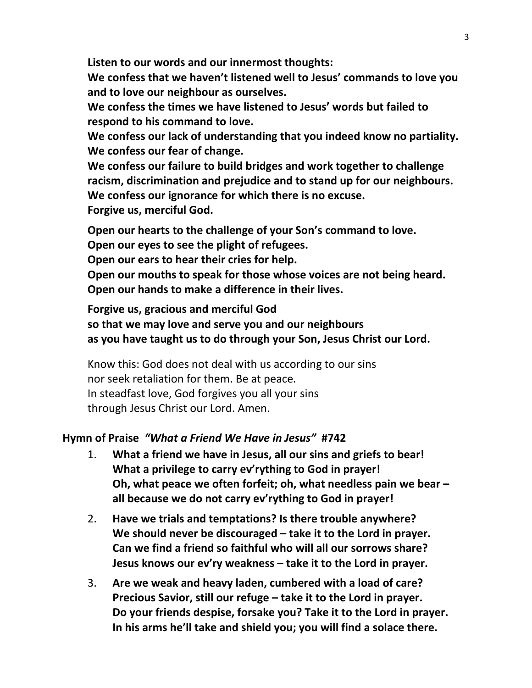**Listen to our words and our innermost thoughts:**

**We confess that we haven't listened well to Jesus' commands to love you and to love our neighbour as ourselves.**

**We confess the times we have listened to Jesus' words but failed to respond to his command to love.**

**We confess our lack of understanding that you indeed know no partiality. We confess our fear of change.**

**We confess our failure to build bridges and work together to challenge racism, discrimination and prejudice and to stand up for our neighbours. We confess our ignorance for which there is no excuse. Forgive us, merciful God.**

**Open our hearts to the challenge of your Son's command to love.**

**Open our eyes to see the plight of refugees.**

**Open our ears to hear their cries for help.**

**Open our mouths to speak for those whose voices are not being heard. Open our hands to make a difference in their lives.**

**Forgive us, gracious and merciful God so that we may love and serve you and our neighbours as you have taught us to do through your Son, Jesus Christ our Lord.**

Know this: God does not deal with us according to our sins nor seek retaliation for them. Be at peace. In steadfast love, God forgives you all your sins through Jesus Christ our Lord. Amen.

### **Hymn of Praise** *"What a Friend We Have in Jesus"* **#742**

- 1. **What a friend we have in Jesus, all our sins and griefs to bear! What a privilege to carry ev'rything to God in prayer! Oh, what peace we often forfeit; oh, what needless pain we bear – all because we do not carry ev'rything to God in prayer!**
- 2. **Have we trials and temptations? Is there trouble anywhere? We should never be discouraged – take it to the Lord in prayer. Can we find a friend so faithful who will all our sorrows share? Jesus knows our ev'ry weakness – take it to the Lord in prayer.**
- 3. **Are we weak and heavy laden, cumbered with a load of care? Precious Savior, still our refuge – take it to the Lord in prayer. Do your friends despise, forsake you? Take it to the Lord in prayer. In his arms he'll take and shield you; you will find a solace there.**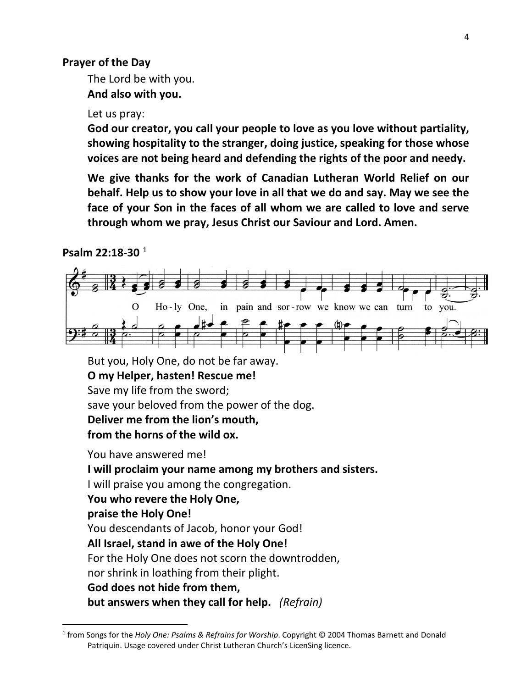#### **Prayer of the Day**

The Lord be with you. **And also with you.**

#### Let us pray:

**God our creator, you call your people to love as you love without partiality, showing hospitality to the stranger, doing justice, speaking for those whose voices are not being heard and defending the rights of the poor and needy.**

**We give thanks for the work of Canadian Lutheran World Relief on our behalf. Help us to show your love in all that we do and say. May we see the face of your Son in the faces of all whom we are called to love and serve through whom we pray, Jesus Christ our Saviour and Lord. Amen.**

#### **Psalm 22:18-30** [1](#page-3-0)



But you, Holy One, do not be far away. **O my Helper, hasten! Rescue me!** Save my life from the sword; save your beloved from the power of the dog. **Deliver me from the lion's mouth, from the horns of the wild ox.**

You have answered me! **I will proclaim your name among my brothers and sisters.** I will praise you among the congregation. **You who revere the Holy One, praise the Holy One!** You descendants of Jacob, honor your God! **All Israel, stand in awe of the Holy One!** For the Holy One does not scorn the downtrodden, nor shrink in loathing from their plight. **God does not hide from them, but answers when they call for help.** *(Refrain)*

<span id="page-3-0"></span><sup>1</sup> from Songs for the *Holy One: Psalms & Refrains for Worship*. Copyright © 2004 Thomas Barnett and Donald Patriquin. Usage covered under Christ Lutheran Church's LicenSing licence.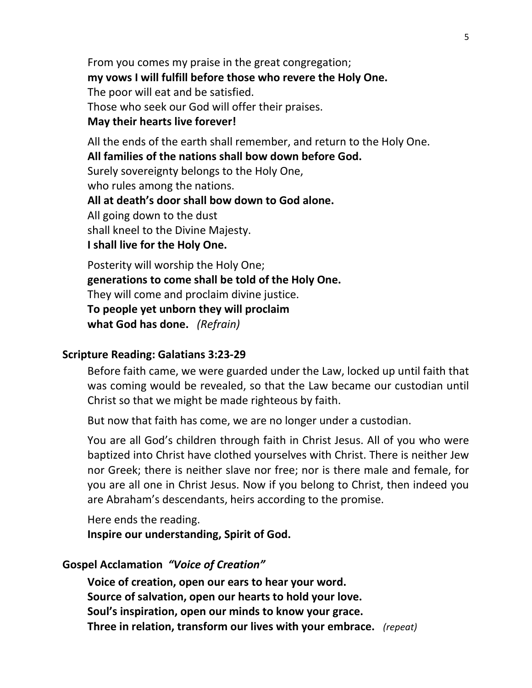From you comes my praise in the great congregation; **my vows I will fulfill before those who revere the Holy One.** The poor will eat and be satisfied. Those who seek our God will offer their praises. **May their hearts live forever!**

All the ends of the earth shall remember, and return to the Holy One. **All families of the nations shall bow down before God.** Surely sovereignty belongs to the Holy One, who rules among the nations. **All at death's door shall bow down to God alone.** All going down to the dust shall kneel to the Divine Majesty. **I shall live for the Holy One.**

Posterity will worship the Holy One; **generations to come shall be told of the Holy One.** They will come and proclaim divine justice. **To people yet unborn they will proclaim what God has done.** *(Refrain)*

#### **Scripture Reading: Galatians 3:23-29**

Before faith came, we were guarded under the Law, locked up until faith that was coming would be revealed, so that the Law became our custodian until Christ so that we might be made righteous by faith.

But now that faith has come, we are no longer under a custodian.

You are all God's children through faith in Christ Jesus. All of you who were baptized into Christ have clothed yourselves with Christ. There is neither Jew nor Greek; there is neither slave nor free; nor is there male and female, for you are all one in Christ Jesus. Now if you belong to Christ, then indeed you are Abraham's descendants, heirs according to the promise.

Here ends the reading. **Inspire our understanding, Spirit of God.**

#### **Gospel Acclamation** *"Voice of Creation"*

**Voice of creation, open our ears to hear your word. Source of salvation, open our hearts to hold your love. Soul's inspiration, open our minds to know your grace. Three in relation, transform our lives with your embrace.** *(repeat)*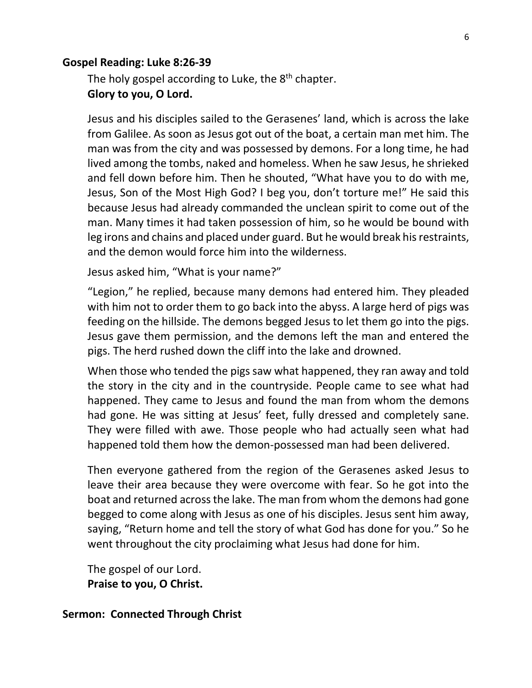#### **Gospel Reading: Luke 8:26-39**

The holy gospel according to Luke, the  $8<sup>th</sup>$  chapter. **Glory to you, O Lord.**

Jesus and his disciples sailed to the Gerasenes' land, which is across the lake from Galilee. As soon as Jesus got out of the boat, a certain man met him. The man was from the city and was possessed by demons. For a long time, he had lived among the tombs, naked and homeless. When he saw Jesus, he shrieked and fell down before him. Then he shouted, "What have you to do with me, Jesus, Son of the Most High God? I beg you, don't torture me!" He said this because Jesus had already commanded the unclean spirit to come out of the man. Many times it had taken possession of him, so he would be bound with leg irons and chains and placed under guard. But he would break his restraints, and the demon would force him into the wilderness.

Jesus asked him, "What is your name?"

"Legion," he replied, because many demons had entered him. They pleaded with him not to order them to go back into the abyss. A large herd of pigs was feeding on the hillside. The demons begged Jesus to let them go into the pigs. Jesus gave them permission, and the demons left the man and entered the pigs. The herd rushed down the cliff into the lake and drowned.

When those who tended the pigs saw what happened, they ran away and told the story in the city and in the countryside. People came to see what had happened. They came to Jesus and found the man from whom the demons had gone. He was sitting at Jesus' feet, fully dressed and completely sane. They were filled with awe. Those people who had actually seen what had happened told them how the demon-possessed man had been delivered.

Then everyone gathered from the region of the Gerasenes asked Jesus to leave their area because they were overcome with fear. So he got into the boat and returned across the lake. The man from whom the demons had gone begged to come along with Jesus as one of his disciples. Jesus sent him away, saying, "Return home and tell the story of what God has done for you." So he went throughout the city proclaiming what Jesus had done for him.

The gospel of our Lord. **Praise to you, O Christ.**

**Sermon: Connected Through Christ**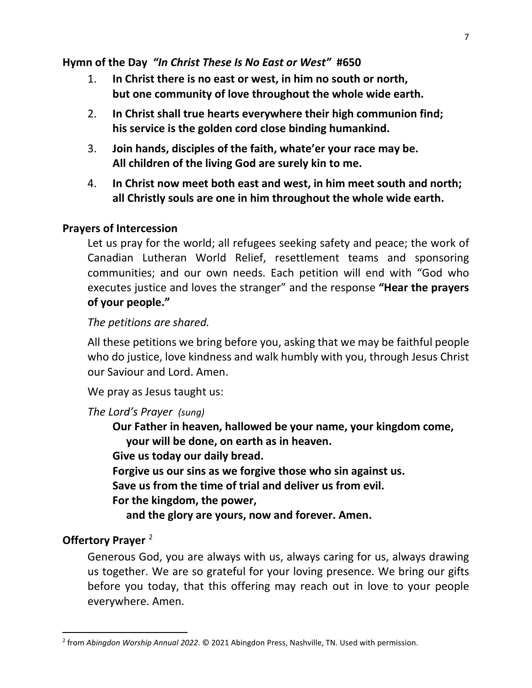### **Hymn of the Day** *"In Christ These Is No East or West"* **#650**

- 1. **In Christ there is no east or west, in him no south or north, but one community of love throughout the whole wide earth.**
- 2. **In Christ shall true hearts everywhere their high communion find; his service is the golden cord close binding humankind.**
- 3. **Join hands, disciples of the faith, whate'er your race may be. All children of the living God are surely kin to me.**
- 4. **In Christ now meet both east and west, in him meet south and north; all Christly souls are one in him throughout the whole wide earth.**

### **Prayers of Intercession**

Let us pray for the world; all refugees seeking safety and peace; the work of Canadian Lutheran World Relief, resettlement teams and sponsoring communities; and our own needs. Each petition will end with "God who executes justice and loves the stranger" and the response **"Hear the prayers of your people."**

### *The petitions are shared.*

All these petitions we bring before you, asking that we may be faithful people who do justice, love kindness and walk humbly with you, through Jesus Christ our Saviour and Lord. Amen.

We pray as Jesus taught us:

### *The Lord's Prayer (sung)*

**Our Father in heaven, hallowed be your name, your kingdom come, your will be done, on earth as in heaven.**

**Give us today our daily bread.**

**Forgive us our sins as we forgive those who sin against us.**

**Save us from the time of trial and deliver us from evil.**

**For the kingdom, the power,**

 **and the glory are yours, now and forever. Amen.**

# **Offertory Prayer** [2](#page-6-0)

Generous God, you are always with us, always caring for us, always drawing us together. We are so grateful for your loving presence. We bring our gifts before you today, that this offering may reach out in love to your people everywhere. Amen.

<span id="page-6-0"></span><sup>2</sup> from *Abingdon Worship Annual 2022*. © 2021 Abingdon Press, Nashville, TN. Used with permission.